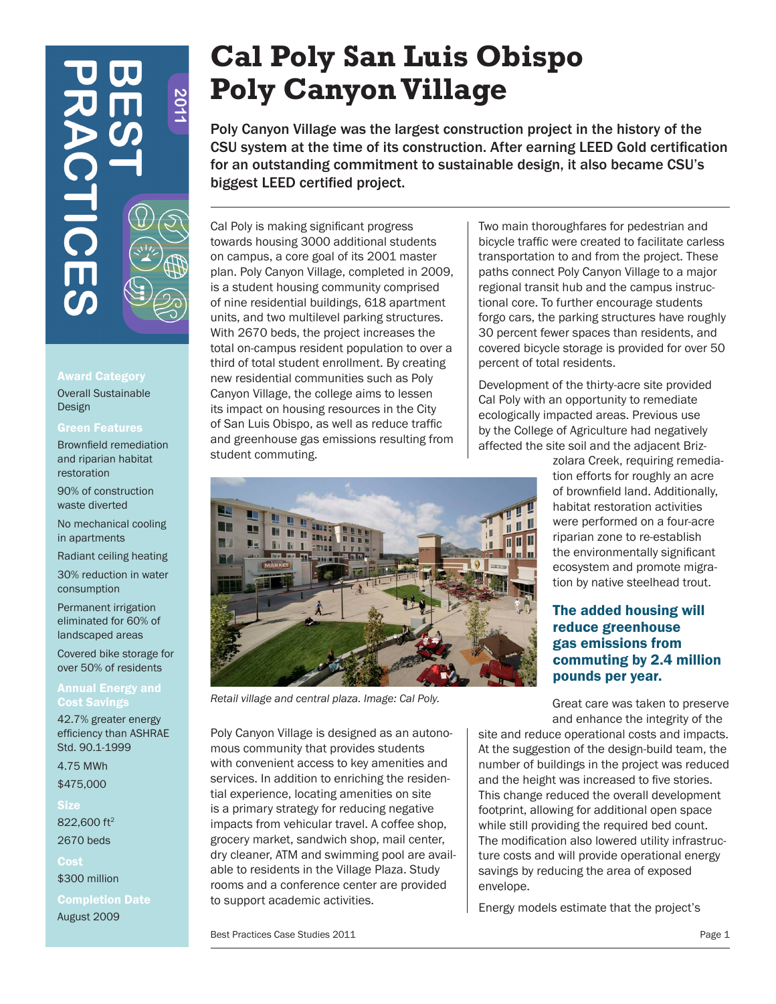# **201**  $\overline{C}$

# Award Category

Overall Sustainable Design

# Green Features

Brownfield remediation and riparian habitat restoration

90% of construction waste diverted

No mechanical cooling in apartments

Radiant ceiling heating

30% reduction in water consumption

Permanent irrigation eliminated for 60% of landscaped areas

Covered bike storage for over 50% of residents

# Annual Energy and **Cost Saving**

42.7% greater energy efficiency than ASHRAE Std. 90.1-1999

4.75 MWh \$475,000

**Size** 822,600 ft<sup>2</sup> 2670 beds

Cost \$300 million

Completion Date August 2009

# **Cal Poly San Luis Obispo Poly Canyon Village**

Poly Canyon Village was the largest construction project in the history of the CSU system at the time of its construction. After earning LEED Gold certification for an outstanding commitment to sustainable design, it also became CSU's biggest LEED certified project.

Cal Poly is making significant progress towards housing 3000 additional students on campus, a core goal of its 2001 master plan. Poly Canyon Village, completed in 2009, is a student housing community comprised of nine residential buildings, 618 apartment units, and two multilevel parking structures. With 2670 beds, the project increases the total on-campus resident population to over a third of total student enrollment. By creating new residential communities such as Poly Canyon Village, the college aims to lessen its impact on housing resources in the City of San Luis Obispo, as well as reduce traffic and greenhouse gas emissions resulting from student commuting.

Two main thoroughfares for pedestrian and bicycle traffic were created to facilitate carless transportation to and from the project. These paths connect Poly Canyon Village to a major regional transit hub and the campus instructional core. To further encourage students forgo cars, the parking structures have roughly 30 percent fewer spaces than residents, and covered bicycle storage is provided for over 50 percent of total residents.

Development of the thirty-acre site provided Cal Poly with an opportunity to remediate ecologically impacted areas. Previous use by the College of Agriculture had negatively affected the site soil and the adjacent Briz-

> zolara Creek, requiring remediation efforts for roughly an acre of brownfield land. Additionally, habitat restoration activities were performed on a four-acre riparian zone to re-establish the environmentally significant ecosystem and promote migration by native steelhead trout.

# The added housing will reduce greenhouse gas emissions from commuting by 2.4 million pounds per year.

Great care was taken to preserve and enhance the integrity of the

site and reduce operational costs and impacts. At the suggestion of the design-build team, the number of buildings in the project was reduced and the height was increased to five stories. This change reduced the overall development footprint, allowing for additional open space while still providing the required bed count. The modification also lowered utility infrastructure costs and will provide operational energy savings by reducing the area of exposed envelope.

Energy models estimate that the project's

Best Practices Case Studies 2011 **Page 1 Page 1** 

to support academic activities.



*Retail village and central plaza. Image: Cal Poly.*

Poly Canyon Village is designed as an autonomous community that provides students with convenient access to key amenities and services. In addition to enriching the residential experience, locating amenities on site is a primary strategy for reducing negative impacts from vehicular travel. A coffee shop, grocery market, sandwich shop, mail center, dry cleaner, ATM and swimming pool are available to residents in the Village Plaza. Study rooms and a conference center are provided